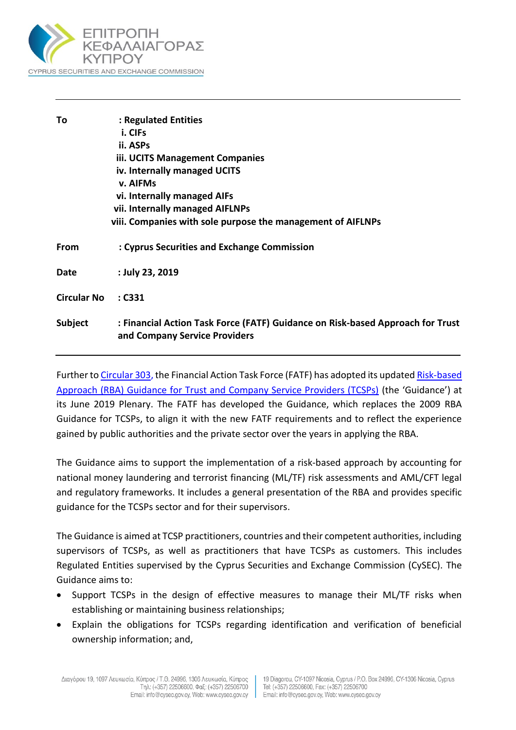

| To                 | : Regulated Entities                                                                                            |
|--------------------|-----------------------------------------------------------------------------------------------------------------|
|                    | i. CIFs                                                                                                         |
|                    | ii. ASPs                                                                                                        |
|                    | iii. UCITS Management Companies                                                                                 |
|                    | iv. Internally managed UCITS                                                                                    |
|                    | v. AIFMs                                                                                                        |
|                    | vi. Internally managed AIFs                                                                                     |
|                    | vii. Internally managed AIFLNPs                                                                                 |
|                    | viii. Companies with sole purpose the management of AIFLNPs                                                     |
| From               | : Cyprus Securities and Exchange Commission                                                                     |
| Date               | : July 23, 2019                                                                                                 |
| <b>Circular No</b> | : C331                                                                                                          |
| Subject            | : Financial Action Task Force (FATF) Guidance on Risk-based Approach for Trust<br>and Company Service Providers |
|                    |                                                                                                                 |

Further t[o Circular 303,](https://www.cysec.gov.cy/CMSPages/GetFile.aspx?guid=e1fcb29c-70a5-4343-8d91-d53250c36bbd) the Financial Action Task Force (FATF) has adopted its updated [Risk-based](http://www.fatf-gafi.org/media/fatf/documents/reports/RBA-Trust-Company-Service-Providers.pdf)  Approach (RBA) [Guidance for Trust and Company Service Providers \(TCSPs\)](http://www.fatf-gafi.org/media/fatf/documents/reports/RBA-Trust-Company-Service-Providers.pdf) (the 'Guidance') at its June 2019 Plenary. The FATF has developed the Guidance, which replaces the 2009 RBA Guidance for TCSPs, to align it with the new FATF requirements and to reflect the experience gained by public authorities and the private sector over the years in applying the RBA.

The Guidance aims to support the implementation of a risk-based approach by accounting for national money laundering and terrorist financing (ML/TF) risk assessments and AML/CFT legal and regulatory frameworks. It includes a general presentation of the RBA and provides specific guidance for the TCSPs sector and for their supervisors.

The Guidance is aimed at TCSP practitioners, countries and their competent authorities, including supervisors of TCSPs, as well as practitioners that have TCSPs as customers. This includes Regulated Entities supervised by the Cyprus Securities and Exchange Commission (CySEC). The Guidance aims to:

- Support TCSPs in the design of effective measures to manage their ML/TF risks when establishing or maintaining business relationships;
- Explain the obligations for TCSPs regarding identification and verification of beneficial ownership information; and,